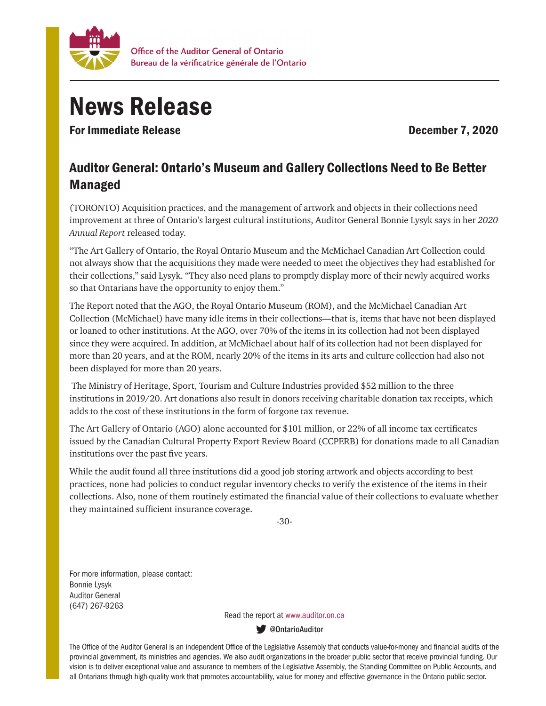

## News Release

For Immediate Release **December 7, 2020** 

## Auditor General: Ontario's Museum and Gallery Collections Need to Be Better Managed

(TORONTO) Acquisition practices, and the management of artwork and objects in their collections need improvement at three of Ontario's largest cultural institutions, Auditor General Bonnie Lysyk says in her *2020 Annual Report* released today.

"The Art Gallery of Ontario, the Royal Ontario Museum and the McMichael Canadian Art Collection could not always show that the acquisitions they made were needed to meet the objectives they had established for their collections," said Lysyk. "They also need plans to promptly display more of their newly acquired works so that Ontarians have the opportunity to enjoy them."

The Report noted that the AGO, the Royal Ontario Museum (ROM), and the McMichael Canadian Art Collection (McMichael) have many idle items in their collections—that is, items that have not been displayed or loaned to other institutions. At the AGO, over 70% of the items in its collection had not been displayed since they were acquired. In addition, at McMichael about half of its collection had not been displayed for more than 20 years, and at the ROM, nearly 20% of the items in its arts and culture collection had also not been displayed for more than 20 years.

 The Ministry of Heritage, Sport, Tourism and Culture Industries provided \$52 million to the three institutions in 2019/20. Art donations also result in donors receiving charitable donation tax receipts, which adds to the cost of these institutions in the form of forgone tax revenue.

The Art Gallery of Ontario (AGO) alone accounted for \$101 million, or 22% of all income tax certificates issued by the Canadian Cultural Property Export Review Board (CCPERB) for donations made to all Canadian institutions over the past five years.

While the audit found all three institutions did a good job storing artwork and objects according to best practices, none had policies to conduct regular inventory checks to verify the existence of the items in their collections. Also, none of them routinely estimated the financial value of their collections to evaluate whether they maintained sufficient insurance coverage.

-30-

For more information, please contact: Bonnie Lysyk Auditor General (647) 267-9263

Read the report at www.auditor.on.ca

**W** @OntarioAuditor

The Office of the Auditor General is an independent Office of the Legislative Assembly that conducts value-for-money and financial audits of the provincial government, its ministries and agencies. We also audit organizations in the broader public sector that receive provincial funding. Our vision is to deliver exceptional value and assurance to members of the Legislative Assembly, the Standing Committee on Public Accounts, and all Ontarians through high-quality work that promotes accountability, value for money and effective governance in the Ontario public sector.